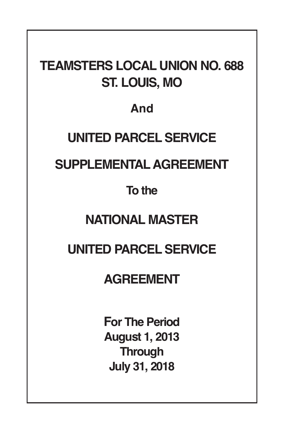# **TEAMSTERS LOCAL UNION NO. 688 ST. LOUIS, MO**

# **And**

# **UNITED PARCEL SERVICE**

# **SUPPLEMENTALAGREEMENT**

# **To the**

# **NATIONAL MASTER**

# **UNITED PARCEL SERVICE**

# **AGREEMENT**

**For The Period August 1, 2013 Through July 31, 2018**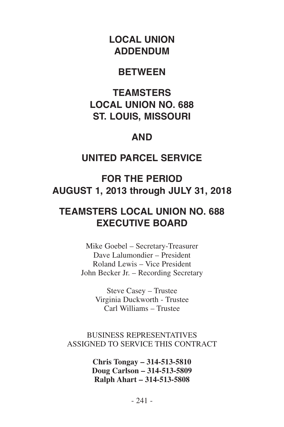## **LOCAL UNION ADDENDUM**

#### **BETWEEN**

## **TEAMSTERS LOCAL UNION NO. 688 ST. LOUIS, MISSOURI**

#### **AND**

## **UNITED PARCEL SERVICE**

## **FOR THE PERIOD AUGUST 1, 2013 through JULY 31, 2018**

## **TEAMSTERS LOCAL UNION NO. 688 EXECUTIVE BOARD**

Mike Goebel – Secretary-Treasurer Dave Lalumondier – President Roland Lewis – Vice President John Becker Jr. – Recording Secretary

> Steve Casey – Trustee Virginia Duckworth - Trustee Carl Williams – Trustee

#### BUSINESS REPRESENTATIVES ASSIGNED TO SERVICE THIS CONTRACT

**Chris Tongay – 314-513-5810 Doug Carlson – 314-513-5809 Ralph Ahart – 314-513-5808**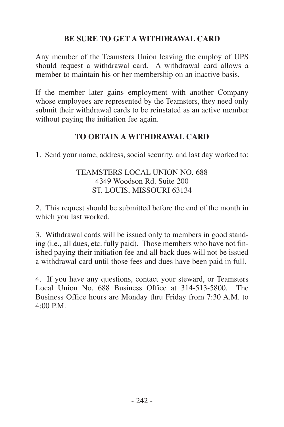#### **BE SURE TO GET A WITHDRAWAL CARD**

Any member of the Teamsters Union leaving the employ of UPS should request a withdrawal card. A withdrawal card allows a member to maintain his or her membership on an inactive basis.

If the member later gains employment with another Company whose employees are represented by the Teamsters, they need only submit their withdrawal cards to be reinstated as an active member without paying the initiation fee again.

#### **TO OBTAIN A WITHDRAWAL CARD**

1. Send your name, address, social security, and last day worked to:

#### TEAMSTERS LOCAL UNION NO. 688 4349 Woodson Rd. Suite 200 ST. LOUIS, MISSOURI 63134

2. This request should be submitted before the end of the month in which you last worked.

3. Withdrawal cards will be issued only to members in good standing (i.e., all dues, etc. fully paid). Those members who have not finished paying their initiation fee and all back dues will not be issued a withdrawal card until those fees and dues have been paid in full.

4. If you have any questions, contact your steward, or Teamsters Local Union No. 688 Business Office at 314-513-5800. The Business Office hours are Monday thru Friday from 7:30 A.M. to  $4:00 \text{ PM}$ .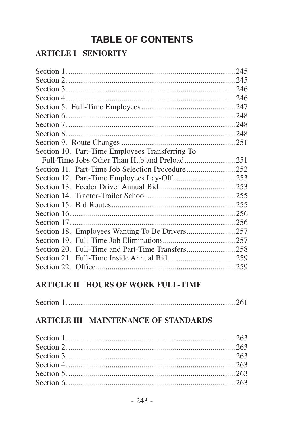# **TABLE OF CONTENTS**

#### **ARTICLE I SENIORITY**

| Section 10. Part-Time Employees Transferring To  |  |
|--------------------------------------------------|--|
|                                                  |  |
| Section 11. Part-Time Job Selection Procedure252 |  |
|                                                  |  |
|                                                  |  |
|                                                  |  |
|                                                  |  |
|                                                  |  |
|                                                  |  |
|                                                  |  |
|                                                  |  |
|                                                  |  |
|                                                  |  |
|                                                  |  |

#### **ARTICLE II HOURS OF WORK FULL-TIME**

|--|

#### **ARTICLE III MAINTENANCE OF STANDARDS**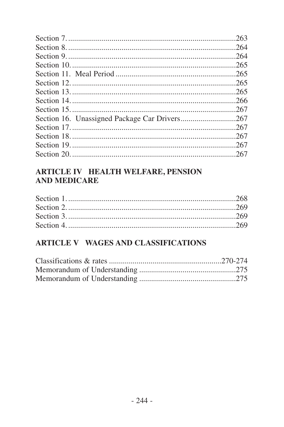| 263  |
|------|
|      |
| 264  |
|      |
|      |
| -265 |
|      |
|      |
| -266 |
| -267 |
|      |
|      |
|      |
|      |
|      |

#### **ARTICLE IV HEALTH WELFARE, PENSION AND MEDICARE**

#### ARTICLE V WAGES AND CLASSIFICATIONS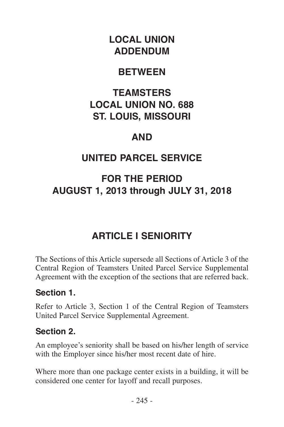# <span id="page-6-0"></span>**LOCAL UNION ADDENDUM**

## **BETWEEN**

## **TEAMSTERS LOCAL UNION NO. 688 ST. LOUIS, MISSOURI**

## **AND**

# **UNITED PARCEL SERVICE**

# **FOR THE PERIOD AUGUST 1, 2013 through JULY 31, 2018**

# **ARTICLE I SENIORITY**

The Sections of this Article supersede all Sections of Article 3 of the Central Region of Teamsters United Parcel Service Supplemental Agreement with the exception of the sections that are referred back.

#### **Section 1.**

Refer to Article 3, Section 1 of the Central Region of Teamsters United Parcel Service Supplemental Agreement.

#### **Section 2.**

An employee's seniority shall be based on his/her length of service with the Employer since his/her most recent date of hire.

Where more than one package center exists in a building, it will be considered one center for layoff and recall purposes.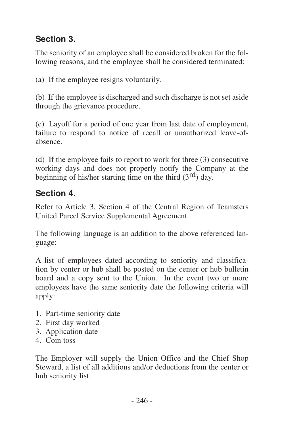## <span id="page-7-0"></span>**Section 3.**

The seniority of an employee shall be considered broken for the following reasons, and the employee shall be considered terminated:

(a) If the employee resigns voluntarily.

(b) If the employee is discharged and such discharge is not set aside through the grievance procedure.

(c) Layoff for a period of one year from last date of employment, failure to respond to notice of recall or unauthorized leave-ofabsence.

(d) If the employee fails to report to work for three (3) consecutive working days and does not properly notify the Company at the beginning of his/her starting time on the third  $(3<sup>rd</sup>)$  day.

### **Section 4.**

Refer to Article 3, Section 4 of the Central Region of Teamsters United Parcel Service Supplemental Agreement.

The following language is an addition to the above referenced language:

A list of employees dated according to seniority and classification by center or hub shall be posted on the center or hub bulletin board and a copy sent to the Union. In the event two or more employees have the same seniority date the following criteria will apply:

- 1. Part-time seniority date
- 2. First day worked
- 3. Application date
- 4. Coin toss

The Employer will supply the Union Office and the Chief Shop Steward, a list of all additions and/or deductions from the center or hub seniority list.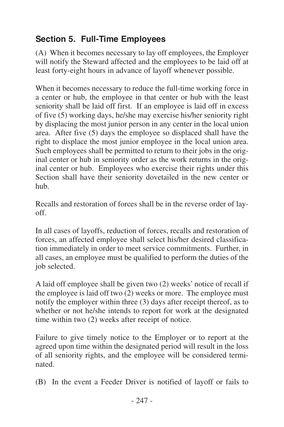## <span id="page-8-0"></span>**Section 5. Full-Time Employees**

(A) When it becomes necessary to lay off employees, the Employer will notify the Steward affected and the employees to be laid off at least forty-eight hours in advance of layoff whenever possible.

When it becomes necessary to reduce the full-time working force in a center or hub, the employee in that center or hub with the least seniority shall be laid off first. If an employee is laid off in excess of five (5) working days, he/she may exercise his/her seniority right by displacing the most junior person in any center in the local union area. After five (5) days the employee so displaced shall have the right to displace the most junior employee in the local union area. Such employees shall be permitted to return to their jobs in the original center or hub in seniority order as the work returns in the original center or hub. Employees who exercise their rights under this Section shall have their seniority dovetailed in the new center or hub.

Recalls and restoration of forces shall be in the reverse order of layoff.

In all cases of layoffs, reduction of forces, recalls and restoration of forces, an affected employee shall select his/her desired classification immediately in order to meet service commitments. Further, in all cases, an employee must be qualified to perform the duties of the job selected.

A laid off employee shall be given two (2) weeks' notice of recall if the employee is laid off two (2) weeks or more. The employee must notify the employer within three (3) days after receipt thereof, as to whether or not he/she intends to report for work at the designated time within two (2) weeks after receipt of notice.

Failure to give timely notice to the Employer or to report at the agreed upon time within the designated period will result in the loss of all seniority rights, and the employee will be considered terminated.

(B) In the event a Feeder Driver is notified of layoff or fails to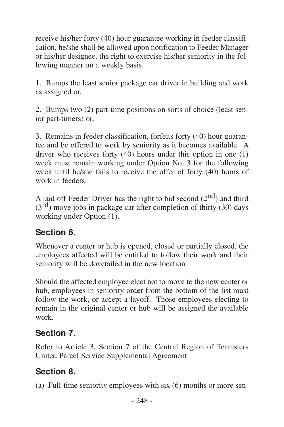<span id="page-9-0"></span>receive his/her forty (40) hour guarantee working in feeder classification, he/she shall be allowed upon notification to Feeder Manager or his/her designee, the right to exercise his/her seniority in the following manner on a weekly basis.

1. Bumps the least senior package car driver in building and work as assigned or,

2. Bumps two (2) part-time positions on sorts of choice (least senior part-timers) or,

3. Remains in feeder classification, forfeits forty (40) hour guarantee and be offered to work by seniority as it becomes available. A driver who receives forty (40) hours under this option in one (1) week must remain working under Option No. 3 for the following week until he/she fails to receive the offer of forty (40) hours of work in feeders.

A laid off Feeder Driver has the right to bid second  $(2<sup>nd</sup>)$  and third  $(3<sup>rd</sup>)$  move jobs in package car after completion of thirty (30) days working under Option (1).

#### **Section 6.**

Whenever a center or hub is opened, closed or partially closed, the employees affected will be entitled to follow their work and their seniority will be dovetailed in the new location.

Should the affected employee elect not to move to the new center or hub, employees in seniority order from the bottom of the list must follow the work, or accept a layoff. Those employees electing to remain in the original center or hub will be assigned the available work.

#### **Section 7.**

Refer to Article 3, Section 7 of the Central Region of Teamsters United Parcel Service Supplemental Agreement.

# **Section 8.**

(a) Full-time seniority employees with six (6) months or more sen-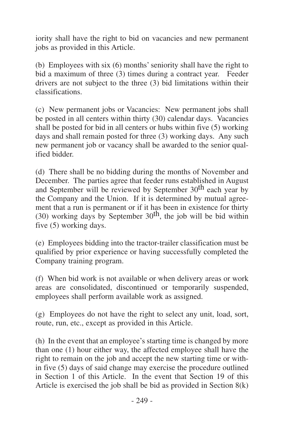iority shall have the right to bid on vacancies and new permanent jobs as provided in this Article.

(b) Employees with six (6) months'seniority shall have the right to bid a maximum of three (3) times during a contract year. Feeder drivers are not subject to the three (3) bid limitations within their classifications.

(c) New permanent jobs or Vacancies: New permanent jobs shall be posted in all centers within thirty (30) calendar days. Vacancies shall be posted for bid in all centers or hubs within five (5) working days and shall remain posted for three (3) working days. Any such new permanent job or vacancy shall be awarded to the senior qualified bidder.

(d) There shall be no bidding during the months of November and December. The parties agree that feeder runs established in August and September will be reviewed by September 30<sup>th</sup> each year by the Company and the Union. If it is determined by mutual agreement that a run is permanent or if it has been in existence for thirty (30) working days by September  $30<sup>th</sup>$ , the job will be bid within five (5) working days.

(e) Employees bidding into the tractor-trailer classification must be qualified by prior experience or having successfully completed the Company training program.

(f) When bid work is not available or when delivery areas or work areas are consolidated, discontinued or temporarily suspended, employees shall perform available work as assigned.

(g) Employees do not have the right to select any unit, load, sort, route, run, etc., except as provided in this Article.

(h) In the event that an employee's starting time is changed by more than one (1) hour either way, the affected employee shall have the right to remain on the job and accept the new starting time or within five (5) days of said change may exercise the procedure outlined in Section 1 of this Article. In the event that Section 19 of this Article is exercised the job shall be bid as provided in Section 8(k)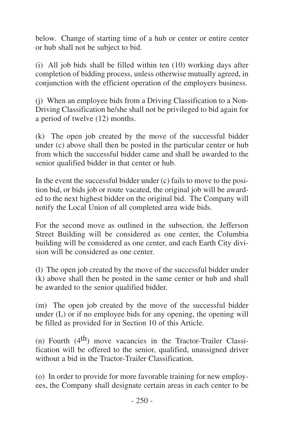below. Change of starting time of a hub or center or entire center or hub shall not be subject to bid.

(i) All job bids shall be filled within ten (10) working days after completion of bidding process, unless otherwise mutually agreed, in conjunction with the efficient operation of the employers business.

(j) When an employee bids from a Driving Classification to a Non-Driving Classification he/she shall not be privileged to bid again for a period of twelve (12) months.

(k) The open job created by the move of the successful bidder under (c) above shall then be posted in the particular center or hub from which the successful bidder came and shall be awarded to the senior qualified bidder in that center or hub.

In the event the successful bidder under (c) fails to move to the position bid, or bids job or route vacated, the original job will be awarded to the next highest bidder on the original bid. The Company will notify the Local Union of all completed area wide bids.

For the second move as outlined in the subsection, the Jefferson Street Building will be considered as one center, the Columbia building will be considered as one center, and each Earth City division will be considered as one center.

(l) The open job created by the move of the successful bidder under (k) above shall then be posted in the same center or hub and shall be awarded to the senior qualified bidder.

(m) The open job created by the move of the successful bidder under (L) or if no employee bids for any opening, the opening will be filled as provided for in Section 10 of this Article.

(n) Fourth  $(4<sup>th</sup>)$  move vacancies in the Tractor-Trailer Classification will be offered to the senior, qualified, unassigned driver without a bid in the Tractor-Trailer Classification.

(o) In order to provide for more favorable training for new employees, the Company shall designate certain areas in each center to be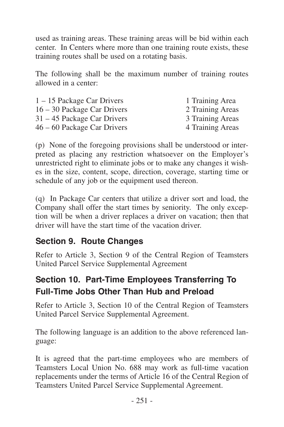<span id="page-12-0"></span>used as training areas. These training areas will be bid within each center. In Centers where more than one training route exists, these training routes shall be used on a rotating basis.

The following shall be the maximum number of training routes allowed in a center:

| $1 - 15$ Package Car Drivers | 1 Training Area  |
|------------------------------|------------------|
| 16 – 30 Package Car Drivers  | 2 Training Areas |
| 31 – 45 Package Car Drivers  | 3 Training Areas |
| 46 – 60 Package Car Drivers  | 4 Training Areas |

(p) None of the foregoing provisions shall be understood or interpreted as placing any restriction whatsoever on the Employer's unrestricted right to eliminate jobs or to make any changes it wishes in the size, content, scope, direction, coverage, starting time or schedule of any job or the equipment used thereon.

(q) In Package Car centers that utilize a driver sort and load, the Company shall offer the start times by seniority. The only exception will be when a driver replaces a driver on vacation; then that driver will have the start time of the vacation driver.

#### **Section 9. Route Changes**

Refer to Article 3, Section 9 of the Central Region of Teamsters United Parcel Service Supplemental Agreement

## **Section 10. Part-Time Employees Transferring To Full-Time Jobs Other Than Hub and Preload**

Refer to Article 3, Section 10 of the Central Region of Teamsters United Parcel Service Supplemental Agreement.

The following language is an addition to the above referenced language:

It is agreed that the part-time employees who are members of Teamsters Local Union No. 688 may work as full-time vacation replacements under the terms of Article 16 of the Central Region of Teamsters United Parcel Service Supplemental Agreement.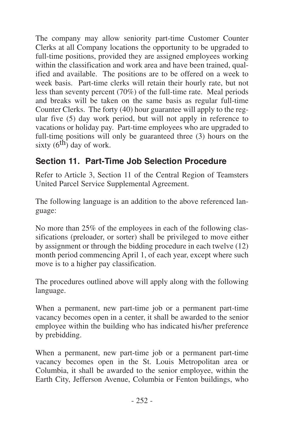<span id="page-13-0"></span>The company may allow seniority part-time Customer Counter Clerks at all Company locations the opportunity to be upgraded to full-time positions, provided they are assigned employees working within the classification and work area and have been trained, qualified and available. The positions are to be offered on a week to week basis. Part-time clerks will retain their hourly rate, but not less than seventy percent (70%) of the full-time rate. Meal periods and breaks will be taken on the same basis as regular full-time Counter Clerks. The forty (40) hour guarantee will apply to the regular five (5) day work period, but will not apply in reference to vacations or holiday pay. Part-time employees who are upgraded to full-time positions will only be guaranteed three (3) hours on the sixty  $(6<sup>th</sup>)$  day of work.

#### **Section 11. Part-Time Job Selection Procedure**

Refer to Article 3, Section 11 of the Central Region of Teamsters United Parcel Service Supplemental Agreement.

The following language is an addition to the above referenced language:

No more than 25% of the employees in each of the following classifications (preloader, or sorter) shall be privileged to move either by assignment or through the bidding procedure in each twelve (12) month period commencing April 1, of each year, except where such move is to a higher pay classification.

The procedures outlined above will apply along with the following language.

When a permanent, new part-time job or a permanent part-time vacancy becomes open in a center, it shall be awarded to the senior employee within the building who has indicated his/her preference by prebidding.

When a permanent, new part-time job or a permanent part-time vacancy becomes open in the St. Louis Metropolitan area or Columbia, it shall be awarded to the senior employee, within the Earth City, Jefferson Avenue, Columbia or Fenton buildings, who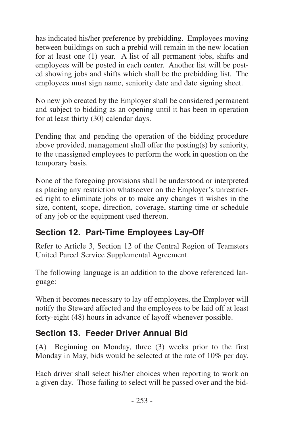<span id="page-14-0"></span>has indicated his/her preference by prebidding. Employees moving between buildings on such a prebid will remain in the new location for at least one (1) year. A list of all permanent jobs, shifts and employees will be posted in each center. Another list will be posted showing jobs and shifts which shall be the prebidding list. The employees must sign name, seniority date and date signing sheet.

No new job created by the Employer shall be considered permanent and subject to bidding as an opening until it has been in operation for at least thirty (30) calendar days.

Pending that and pending the operation of the bidding procedure above provided, management shall offer the posting(s) by seniority, to the unassigned employees to perform the work in question on the temporary basis.

None of the foregoing provisions shall be understood or interpreted as placing any restriction whatsoever on the Employer's unrestricted right to eliminate jobs or to make any changes it wishes in the size, content, scope, direction, coverage, starting time or schedule of any job or the equipment used thereon.

### **Section 12. Part-Time Employees Lay-Off**

Refer to Article 3, Section 12 of the Central Region of Teamsters United Parcel Service Supplemental Agreement.

The following language is an addition to the above referenced language:

When it becomes necessary to lay off employees, the Employer will notify the Steward affected and the employees to be laid off at least forty-eight (48) hours in advance of layoff whenever possible.

### **Section 13. Feeder Driver Annual Bid**

(A) Beginning on Monday, three (3) weeks prior to the first Monday in May, bids would be selected at the rate of 10% per day.

Each driver shall select his/her choices when reporting to work on a given day. Those failing to select will be passed over and the bid-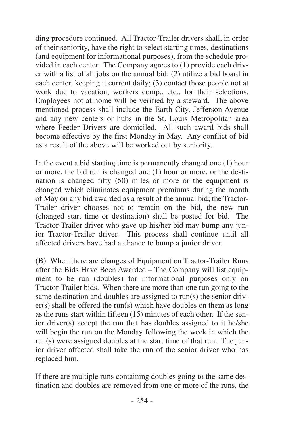ding procedure continued. All Tractor-Trailer drivers shall, in order of their seniority, have the right to select starting times, destinations (and equipment for informational purposes), from the schedule provided in each center. The Company agrees to (1) provide each driver with a list of all jobs on the annual bid; (2) utilize a bid board in each center, keeping it current daily; (3) contact those people not at work due to vacation, workers comp., etc., for their selections. Employees not at home will be verified by a steward. The above mentioned process shall include the Earth City, Jefferson Avenue and any new centers or hubs in the St. Louis Metropolitan area where Feeder Drivers are domiciled. All such award bids shall become effective by the first Monday in May. Any conflict of bid as a result of the above will be worked out by seniority.

In the event a bid starting time is permanently changed one (1) hour or more, the bid run is changed one (1) hour or more, or the destination is changed fifty (50) miles or more or the equipment is changed which eliminates equipment premiums during the month of May on any bid awarded as a result of the annual bid; the Tractor-Trailer driver chooses not to remain on the bid, the new run (changed start time or destination) shall be posted for bid. The Tractor-Trailer driver who gave up his/her bid may bump any junior Tractor-Trailer driver. This process shall continue until all affected drivers have had a chance to bump a junior driver.

(B) When there are changes of Equipment on Tractor-Trailer Runs after the Bids Have Been Awarded – The Company will list equipment to be run (doubles) for informational purposes only on Tractor-Trailer bids. When there are more than one run going to the same destination and doubles are assigned to run(s) the senior driver(s) shall be offered the run(s) which have doubles on them as long as the runs start within fifteen (15) minutes of each other. If the senior driver(s) accept the run that has doubles assigned to it he/she will begin the run on the Monday following the week in which the run(s) were assigned doubles at the start time of that run. The junior driver affected shall take the run of the senior driver who has replaced him.

If there are multiple runs containing doubles going to the same destination and doubles are removed from one or more of the runs, the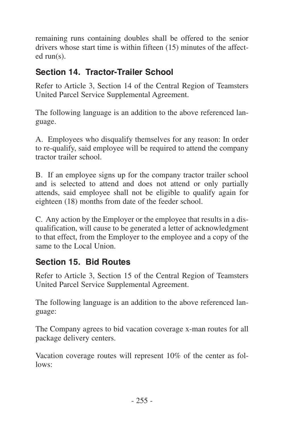<span id="page-16-0"></span>remaining runs containing doubles shall be offered to the senior drivers whose start time is within fifteen (15) minutes of the affected run(s).

#### **Section 14. Tractor-Trailer School**

Refer to Article 3, Section 14 of the Central Region of Teamsters United Parcel Service Supplemental Agreement.

The following language is an addition to the above referenced language.

A. Employees who disqualify themselves for any reason: In order to re-qualify, said employee will be required to attend the company tractor trailer school.

B. If an employee signs up for the company tractor trailer school and is selected to attend and does not attend or only partially attends, said employee shall not be eligible to qualify again for eighteen (18) months from date of the feeder school.

C. Any action by the Employer or the employee that results in a disqualification, will cause to be generated a letter of acknowledgment to that effect, from the Employer to the employee and a copy of the same to the Local Union.

#### **Section 15. Bid Routes**

Refer to Article 3, Section 15 of the Central Region of Teamsters United Parcel Service Supplemental Agreement.

The following language is an addition to the above referenced language:

The Company agrees to bid vacation coverage x-man routes for all package delivery centers.

Vacation coverage routes will represent 10% of the center as follows: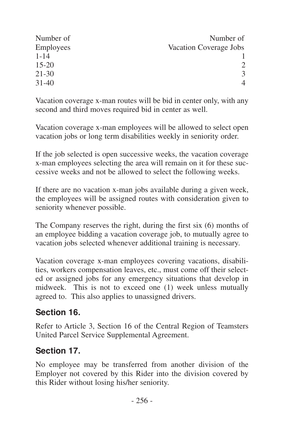<span id="page-17-0"></span>

| Number of | Number of                   |
|-----------|-----------------------------|
| Employees | Vacation Coverage Jobs      |
| $1 - 14$  |                             |
| $15 - 20$ | $\mathcal{D}_{\mathcal{L}}$ |
| $21 - 30$ | 3                           |
| $31 - 40$ | 4                           |

Vacation coverage x-man routes will be bid in center only, with any second and third moves required bid in center as well.

Vacation coverage x-man employees will be allowed to select open vacation jobs or long term disabilities weekly in seniority order.

If the job selected is open successive weeks, the vacation coverage x-man employees selecting the area will remain on it for these successive weeks and not be allowed to select the following weeks.

If there are no vacation x-man jobs available during a given week, the employees will be assigned routes with consideration given to seniority whenever possible.

The Company reserves the right, during the first six (6) months of an employee bidding a vacation coverage job, to mutually agree to vacation jobs selected whenever additional training is necessary.

Vacation coverage x-man employees covering vacations, disabilities, workers compensation leaves, etc., must come off their selected or assigned jobs for any emergency situations that develop in midweek. This is not to exceed one (1) week unless mutually agreed to. This also applies to unassigned drivers.

#### **Section 16.**

Refer to Article 3, Section 16 of the Central Region of Teamsters United Parcel Service Supplemental Agreement.

#### **Section 17.**

No employee may be transferred from another division of the Employer not covered by this Rider into the division covered by this Rider without losing his/her seniority.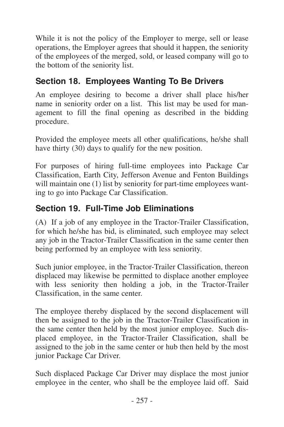<span id="page-18-0"></span>While it is not the policy of the Employer to merge, sell or lease operations, the Employer agrees that should it happen, the seniority of the employees of the merged, sold, or leased company will go to the bottom of the seniority list.

### **Section 18. Employees Wanting To Be Drivers**

An employee desiring to become a driver shall place his/her name in seniority order on a list. This list may be used for management to fill the final opening as described in the bidding procedure.

Provided the employee meets all other qualifications, he/she shall have thirty (30) days to qualify for the new position.

For purposes of hiring full-time employees into Package Car Classification, Earth City, Jefferson Avenue and Fenton Buildings will maintain one (1) list by seniority for part-time employees wanting to go into Package Car Classification.

#### **Section 19. Full-Time Job Eliminations**

(A) If a job of any employee in the Tractor-Trailer Classification, for which he/she has bid, is eliminated, such employee may select any job in the Tractor-Trailer Classification in the same center then being performed by an employee with less seniority.

Such junior employee, in the Tractor-Trailer Classification, thereon displaced may likewise be permitted to displace another employee with less seniority then holding a job, in the Tractor-Trailer Classification, in the same center.

The employee thereby displaced by the second displacement will then be assigned to the job in the Tractor-Trailer Classification in the same center then held by the most junior employee. Such displaced employee, in the Tractor-Trailer Classification, shall be assigned to the job in the same center or hub then held by the most junior Package Car Driver.

Such displaced Package Car Driver may displace the most junior employee in the center, who shall be the employee laid off. Said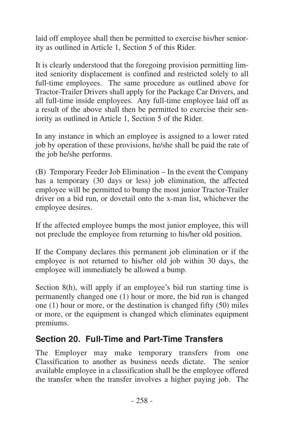<span id="page-19-0"></span>laid off employee shall then be permitted to exercise his/her seniority as outlined in Article 1, Section 5 of this Rider.

It is clearly understood that the foregoing provision permitting limited seniority displacement is confined and restricted solely to all full-time employees. The same procedure as outlined above for Tractor-Trailer Drivers shall apply for the Package Car Drivers, and all full-time inside employees. Any full-time employee laid off as a result of the above shall then be permitted to exercise their seniority as outlined in Article 1, Section 5 of the Rider.

In any instance in which an employee is assigned to a lower rated job by operation of these provisions, he/she shall be paid the rate of the job he/she performs.

(B) Temporary Feeder Job Elimination – In the event the Company has a temporary (30 days or less) job elimination, the affected employee will be permitted to bump the most junior Tractor-Trailer driver on a bid run, or dovetail onto the x-man list, whichever the employee desires.

If the affected employee bumps the most junior employee, this will not preclude the employee from returning to his/her old position.

If the Company declares this permanent job elimination or if the employee is not returned to his/her old job within 30 days, the employee will immediately be allowed a bump.

Section 8(h), will apply if an employee's bid run starting time is permanently changed one (1) hour or more, the bid run is changed one (1) hour or more, or the destination is changed fifty (50) miles or more, or the equipment is changed which eliminates equipment premiums.

#### **Section 20. Full-Time and Part-Time Transfers**

The Employer may make temporary transfers from one Classification to another as business needs dictate. The senior available employee in a classification shall be the employee offered the transfer when the transfer involves a higher paying job. The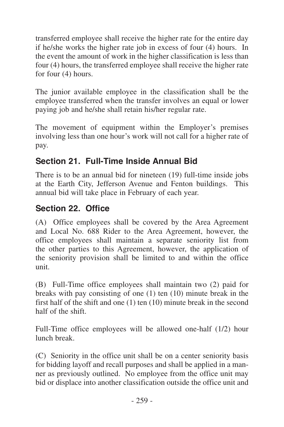<span id="page-20-0"></span>transferred employee shall receive the higher rate for the entire day if he/she works the higher rate job in excess of four (4) hours. In the event the amount of work in the higher classification is less than four (4) hours, the transferred employee shall receive the higher rate for four (4) hours.

The junior available employee in the classification shall be the employee transferred when the transfer involves an equal or lower paying job and he/she shall retain his/her regular rate.

The movement of equipment within the Employer's premises involving less than one hour's work will not call for a higher rate of pay.

#### **Section 21. Full-Time Inside Annual Bid**

There is to be an annual bid for nineteen (19) full-time inside jobs at the Earth City, Jefferson Avenue and Fenton buildings. This annual bid will take place in February of each year.

#### **Section 22. Office**

(A) Office employees shall be covered by the Area Agreement and Local No. 688 Rider to the Area Agreement, however, the office employees shall maintain a separate seniority list from the other parties to this Agreement, however, the application of the seniority provision shall be limited to and within the office unit.

(B) Full-Time office employees shall maintain two (2) paid for breaks with pay consisting of one (1) ten (10) minute break in the first half of the shift and one (1) ten (10) minute break in the second half of the shift.

Full-Time office employees will be allowed one-half (1/2) hour lunch break.

(C) Seniority in the office unit shall be on a center seniority basis for bidding layoff and recall purposes and shall be applied in a manner as previously outlined. No employee from the office unit may bid or displace into another classification outside the office unit and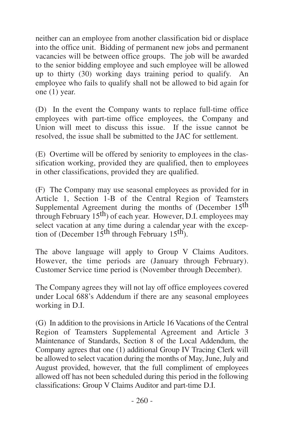neither can an employee from another classification bid or displace into the office unit. Bidding of permanent new jobs and permanent vacancies will be between office groups. The job will be awarded to the senior bidding employee and such employee will be allowed up to thirty (30) working days training period to qualify. An employee who fails to qualify shall not be allowed to bid again for one (1) year.

(D) In the event the Company wants to replace full-time office employees with part-time office employees, the Company and Union will meet to discuss this issue. If the issue cannot be resolved, the issue shall be submitted to the JAC for settlement.

(E) Overtime will be offered by seniority to employees in the classification working, provided they are qualified, then to employees in other classifications, provided they are qualified.

(F) The Company may use seasonal employees as provided for in Article 1. Section 1-B of the Central Region of Teamsters Supplemental Agreement during the months of (December 15<sup>th</sup>) through February  $15<sup>th</sup>$ ) of each year. However, D.I. employees may select vacation at any time during a calendar year with the exception of (December  $15<sup>th</sup>$  through February  $15<sup>th</sup>$ ).

The above language will apply to Group V Claims Auditors. However, the time periods are (January through February). Customer Service time period is (November through December).

The Company agrees they will not lay off office employees covered under Local 688's Addendum if there are any seasonal employees working in D.I.

(G) In addition to the provisions in Article 16 Vacations of the Central Region of Teamsters Supplemental Agreement and Article 3 Maintenance of Standards, Section 8 of the Local Addendum, the Company agrees that one (1) additional Group IV Tracing Clerk will be allowed to select vacation during the months of May, June, July and August provided, however, that the full compliment of employees allowed off has not been scheduled during this period in the following classifications: Group V Claims Auditor and part-time D.I.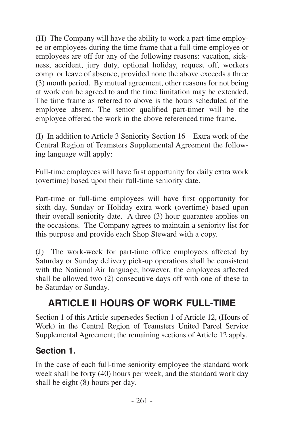<span id="page-22-0"></span>(H) The Company will have the ability to work a part-time employee or employees during the time frame that a full-time employee or employees are off for any of the following reasons: vacation, sickness, accident, jury duty, optional holiday, request off, workers comp. or leave of absence, provided none the above exceeds a three (3) month period. By mutual agreement, other reasons for not being at work can be agreed to and the time limitation may be extended. The time frame as referred to above is the hours scheduled of the employee absent. The senior qualified part-timer will be the employee offered the work in the above referenced time frame.

(I) In addition to Article 3 Seniority Section 16 – Extra work of the Central Region of Teamsters Supplemental Agreement the following language will apply:

Full-time employees will have first opportunity for daily extra work (overtime) based upon their full-time seniority date.

Part-time or full-time employees will have first opportunity for sixth day, Sunday or Holiday extra work (overtime) based upon their overall seniority date. A three (3) hour guarantee applies on the occasions. The Company agrees to maintain a seniority list for this purpose and provide each Shop Steward with a copy.

(J) The work-week for part-time office employees affected by Saturday or Sunday delivery pick-up operations shall be consistent with the National Air language; however, the employees affected shall be allowed two (2) consecutive days off with one of these to be Saturday or Sunday.

## **ARTICLE II HOURS OF WORK FULL-TIME**

Section 1 of this Article supersedes Section 1 of Article 12, (Hours of Work) in the Central Region of Teamsters United Parcel Service Supplemental Agreement; the remaining sections of Article 12 apply.

#### **Section 1.**

In the case of each full-time seniority employee the standard work week shall be forty (40) hours per week, and the standard work day shall be eight (8) hours per day.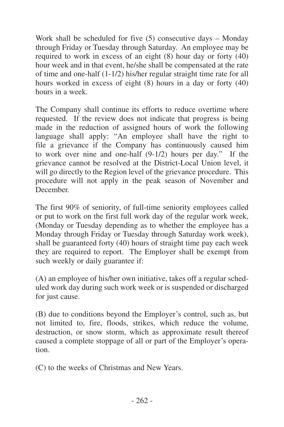Work shall be scheduled for five (5) consecutive days – Monday through Friday or Tuesday through Saturday. An employee may be required to work in excess of an eight (8) hour day or forty (40) hour week and in that event, he/she shall be compensated at the rate of time and one-half (1-1/2) his/her regular straight time rate for all hours worked in excess of eight (8) hours in a day or forty (40) hours in a week.

The Company shall continue its efforts to reduce overtime where requested. If the review does not indicate that progress is being made in the reduction of assigned hours of work the following language shall apply: "An employee shall have the right to file a grievance if the Company has continuously caused him to work over nine and one-half (9-1/2) hours per day." If the grievance cannot be resolved at the District-Local Union level, it will go directly to the Region level of the grievance procedure. This procedure will not apply in the peak season of November and December.

The first 90% of seniority, of full-time seniority employees called or put to work on the first full work day of the regular work week, (Monday or Tuesday depending as to whether the employee has a Monday through Friday or Tuesday through Saturday work week), shall be guaranteed forty (40) hours of straight time pay each week they are required to report. The Employer shall be exempt from such weekly or daily guarantee if:

(A) an employee of his/her own initiative, takes off a regular scheduled work day during such work week or is suspended or discharged for just cause.

(B) due to conditions beyond the Employer's control, such as, but not limited to, fire, floods, strikes, which reduce the volume, destruction, or snow storm, which as approximate result thereof caused a complete stoppage of all or part of the Employer's operation.

(C) to the weeks of Christmas and New Years.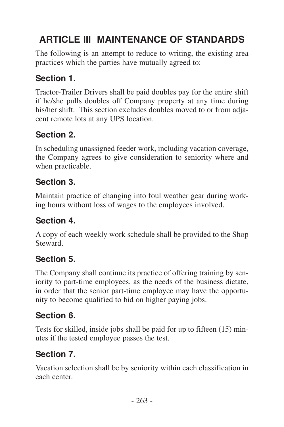# <span id="page-24-0"></span>**ARTICLE III MAINTENANCE OF STANDARDS**

The following is an attempt to reduce to writing, the existing area practices which the parties have mutually agreed to:

#### **Section 1.**

Tractor-Trailer Drivers shall be paid doubles pay for the entire shift if he/she pulls doubles off Company property at any time during his/her shift. This section excludes doubles moved to or from adjacent remote lots at any UPS location.

#### **Section 2.**

In scheduling unassigned feeder work, including vacation coverage, the Company agrees to give consideration to seniority where and when practicable.

#### **Section 3.**

Maintain practice of changing into foul weather gear during working hours without loss of wages to the employees involved.

#### **Section 4.**

A copy of each weekly work schedule shall be provided to the Shop Steward.

#### **Section 5.**

The Company shall continue its practice of offering training by seniority to part-time employees, as the needs of the business dictate, in order that the senior part-time employee may have the opportunity to become qualified to bid on higher paying jobs.

#### **Section 6.**

Tests for skilled, inside jobs shall be paid for up to fifteen (15) minutes if the tested employee passes the test.

### **Section 7.**

Vacation selection shall be by seniority within each classification in each center.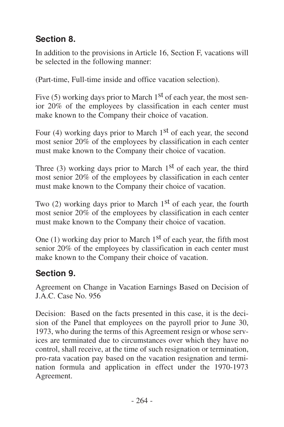### <span id="page-25-0"></span>**Section 8.**

In addition to the provisions in Article 16, Section F, vacations will be selected in the following manner:

(Part-time, Full-time inside and office vacation selection).

Five  $(5)$  working days prior to March 1<sup>st</sup> of each year, the most senior 20% of the employees by classification in each center must make known to the Company their choice of vacation.

Four (4) working days prior to March  $1<sup>st</sup>$  of each year, the second most senior 20% of the employees by classification in each center must make known to the Company their choice of vacation.

Three (3) working days prior to March  $1<sup>st</sup>$  of each year, the third most senior 20% of the employees by classification in each center must make known to the Company their choice of vacation.

Two  $(2)$  working days prior to March 1<sup>st</sup> of each year, the fourth most senior 20% of the employees by classification in each center must make known to the Company their choice of vacation.

One (1) working day prior to March  $1<sup>st</sup>$  of each year, the fifth most senior 20% of the employees by classification in each center must make known to the Company their choice of vacation.

### **Section 9.**

Agreement on Change in Vacation Earnings Based on Decision of J.A.C. Case No. 956

Decision: Based on the facts presented in this case, it is the decision of the Panel that employees on the payroll prior to June 30, 1973, who during the terms of this Agreement resign or whose services are terminated due to circumstances over which they have no control, shall receive, at the time of such resignation or termination, pro-rata vacation pay based on the vacation resignation and termination formula and application in effect under the 1970-1973 Agreement.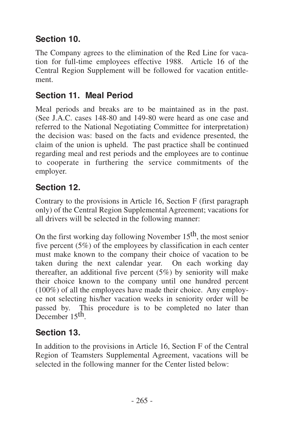## <span id="page-26-0"></span>**Section 10.**

The Company agrees to the elimination of the Red Line for vacation for full-time employees effective 1988. Article 16 of the Central Region Supplement will be followed for vacation entitlement.

### **Section 11. Meal Period**

Meal periods and breaks are to be maintained as in the past. (See J.A.C. cases 148-80 and 149-80 were heard as one case and referred to the National Negotiating Committee for interpretation) the decision was: based on the facts and evidence presented, the claim of the union is upheld. The past practice shall be continued regarding meal and rest periods and the employees are to continue to cooperate in furthering the service commitments of the employer.

#### **Section 12.**

Contrary to the provisions in Article 16, Section F (first paragraph only) of the Central Region Supplemental Agreement; vacations for all drivers will be selected in the following manner:

On the first working day following November 15th, the most senior five percent (5%) of the employees by classification in each center must make known to the company their choice of vacation to be taken during the next calendar year. On each working day thereafter, an additional five percent (5%) by seniority will make their choice known to the company until one hundred percent (100%) of all the employees have made their choice. Any employee not selecting his/her vacation weeks in seniority order will be passed by. This procedure is to be completed no later than December 15<sup>th</sup>.

### **Section 13.**

In addition to the provisions in Article 16, Section F of the Central Region of Teamsters Supplemental Agreement, vacations will be selected in the following manner for the Center listed below: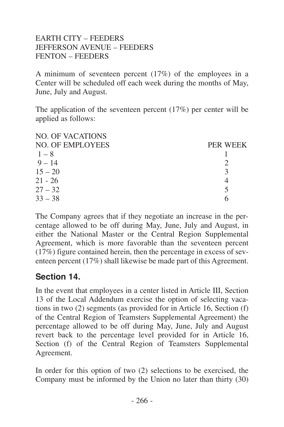#### <span id="page-27-0"></span>EARTH CITY – FEEDERS JEFFERSON AVENUE – FEEDERS FENTON – FEEDERS

A minimum of seventeen percent (17%) of the employees in a Center will be scheduled off each week during the months of May, June, July and August.

The application of the seventeen percent (17%) per center will be applied as follows:

| PER WEEK |
|----------|
|          |
|          |
|          |
|          |
|          |
|          |
|          |

The Company agrees that if they negotiate an increase in the percentage allowed to be off during May, June, July and August, in either the National Master or the Central Region Supplemental Agreement, which is more favorable than the seventeen percent (17%) figure contained herein, then the percentage in excess of seventeen percent (17%) shall likewise be made part of this Agreement.

#### **Section 14.**

In the event that employees in a center listed in Article III, Section 13 of the Local Addendum exercise the option of selecting vacations in two (2) segments (as provided for in Article 16, Section (f) of the Central Region of Teamsters Supplemental Agreement) the percentage allowed to be off during May, June, July and August revert back to the percentage level provided for in Article 16, Section (f) of the Central Region of Teamsters Supplemental Agreement.

In order for this option of two (2) selections to be exercised, the Company must be informed by the Union no later than thirty (30)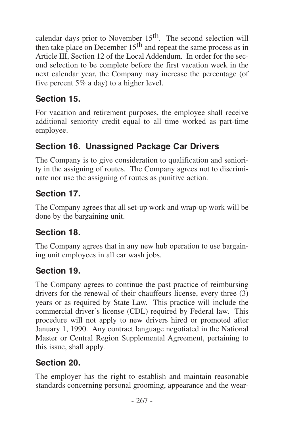<span id="page-28-0"></span>calendar days prior to November  $15<sup>th</sup>$ . The second selection will then take place on December 15<sup>th</sup> and repeat the same process as in Article III, Section 12 of the Local Addendum. In order for the second selection to be complete before the first vacation week in the next calendar year, the Company may increase the percentage (of five percent 5% a day) to a higher level.

### **Section 15.**

For vacation and retirement purposes, the employee shall receive additional seniority credit equal to all time worked as part-time employee.

## **Section 16. Unassigned Package Car Drivers**

The Company is to give consideration to qualification and seniority in the assigning of routes. The Company agrees not to discriminate nor use the assigning of routes as punitive action.

## **Section 17.**

The Company agrees that all set-up work and wrap-up work will be done by the bargaining unit.

### **Section 18.**

The Company agrees that in any new hub operation to use bargaining unit employees in all car wash jobs.

## **Section 19.**

The Company agrees to continue the past practice of reimbursing drivers for the renewal of their chauffeurs license, every three (3) years or as required by State Law. This practice will include the commercial driver's license (CDL) required by Federal law. This procedure will not apply to new drivers hired or promoted after January 1, 1990. Any contract language negotiated in the National Master or Central Region Supplemental Agreement, pertaining to this issue, shall apply.

## **Section 20.**

The employer has the right to establish and maintain reasonable standards concerning personal grooming, appearance and the wear-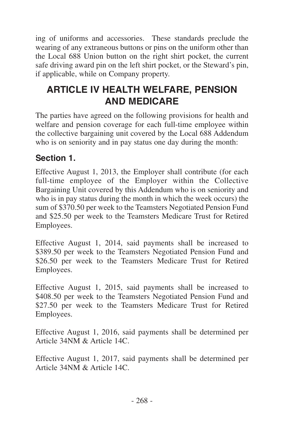<span id="page-29-0"></span>ing of uniforms and accessories. These standards preclude the wearing of any extraneous buttons or pins on the uniform other than the Local 688 Union button on the right shirt pocket, the current safe driving award pin on the left shirt pocket, or the Steward's pin, if applicable, while on Company property.

# **ARTICLE IV HEALTH WELFARE, PENSION AND MEDICARE**

The parties have agreed on the following provisions for health and welfare and pension coverage for each full-time employee within the collective bargaining unit covered by the Local 688 Addendum who is on seniority and in pay status one day during the month:

#### **Section 1.**

Effective August 1, 2013, the Employer shall contribute (for each full-time employee of the Employer within the Collective Bargaining Unit covered by this Addendum who is on seniority and who is in pay status during the month in which the week occurs) the sum of \$370.50 per week to the Teamsters Negotiated Pension Fund and \$25.50 per week to the Teamsters Medicare Trust for Retired Employees.

Effective August 1, 2014, said payments shall be increased to \$389.50 per week to the Teamsters Negotiated Pension Fund and \$26.50 per week to the Teamsters Medicare Trust for Retired Employees.

Effective August 1, 2015, said payments shall be increased to \$408.50 per week to the Teamsters Negotiated Pension Fund and \$27.50 per week to the Teamsters Medicare Trust for Retired Employees.

Effective August 1, 2016, said payments shall be determined per Article 34NM & Article 14C.

Effective August 1, 2017, said payments shall be determined per Article 34NM & Article 14C.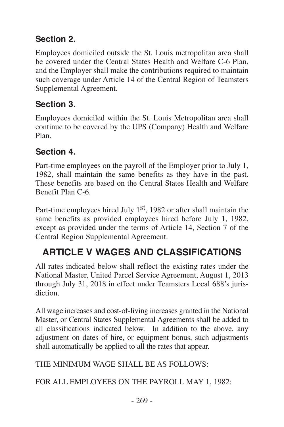## <span id="page-30-0"></span>**Section 2.**

Employees domiciled outside the St. Louis metropolitan area shall be covered under the Central States Health and Welfare C-6 Plan, and the Employer shall make the contributions required to maintain such coverage under Article 14 of the Central Region of Teamsters Supplemental Agreement.

## **Section 3.**

Employees domiciled within the St. Louis Metropolitan area shall continue to be covered by the UPS (Company) Health and Welfare Plan.

#### **Section 4.**

Part-time employees on the payroll of the Employer prior to July 1, 1982, shall maintain the same benefits as they have in the past. These benefits are based on the Central States Health and Welfare Benefit Plan C-6.

Part-time employees hired July 1<sup>st</sup>, 1982 or after shall maintain the same benefits as provided employees hired before July 1, 1982, except as provided under the terms of Article 14, Section 7 of the Central Region Supplemental Agreement.

# **ARTICLE V WAGES AND CLASSIFICATIONS**

All rates indicated below shall reflect the existing rates under the National Master, United Parcel Service Agreement, August 1, 2013 through July 31, 2018 in effect under Teamsters Local 688's jurisdiction.

All wage increases and cost-of-living increases granted in the National Master, or Central States Supplemental Agreements shall be added to all classifications indicated below. In addition to the above, any adjustment on dates of hire, or equipment bonus, such adjustments shall automatically be applied to all the rates that appear.

THE MINIMUM WAGE SHALL BE AS FOLLOWS:

FOR ALL EMPLOYEES ON THE PAYROLL MAY 1, 1982: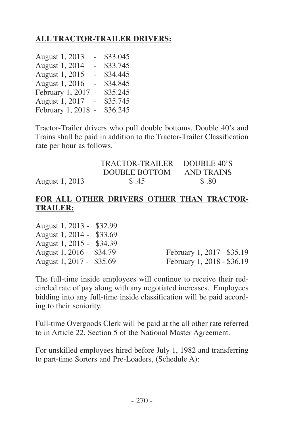#### **ALL TRACTOR-TRAILER DRIVERS:**

| August 1, 2013   | $\overline{a}$           | \$33.045 |
|------------------|--------------------------|----------|
| August 1, 2014   | $\overline{\phantom{0}}$ | \$33.745 |
| August 1, 2015   | ٠                        | \$34.445 |
| August 1, 2016   | ÷.                       | \$34.845 |
| February 1, 2017 | $\sim$                   | \$35.245 |
| August 1, 2017   | $\overline{a}$           | \$35.745 |
| February 1, 2018 | $\sim$                   | \$36.245 |

Tractor-Trailer drivers who pull double bottoms, Double 40's and Trains shall be paid in addition to the Tractor-Trailer Classification rate per hour as follows.

|                | TRACTOR-TRAILER | DOUBLE 40'S |
|----------------|-----------------|-------------|
|                | DOUBLE BOTTOM   | AND TRAINS  |
| August 1, 2013 | \$.45           | \$.80       |

#### **FOR ALL OTHER DRIVERS OTHER THAN TRACTOR-TRAILER:**

| August 1, 2013 - \$32.99 |                            |
|--------------------------|----------------------------|
| August 1, 2014 - \$33.69 |                            |
| August 1, 2015 - \$34.39 |                            |
| August 1, 2016 - \$34.79 | February 1, 2017 - \$35.19 |
| August 1, 2017 - \$35.69 | February 1, 2018 - \$36.19 |

The full-time inside employees will continue to receive their redcircled rate of pay along with any negotiated increases. Employees bidding into any full-time inside classification will be paid according to their seniority.

Full-time Overgoods Clerk will be paid at the all other rate referred to in Article 22, Section 5 of the National Master Agreement.

For unskilled employees hired before July 1, 1982 and transferring to part-time Sorters and Pre-Loaders, (Schedule A):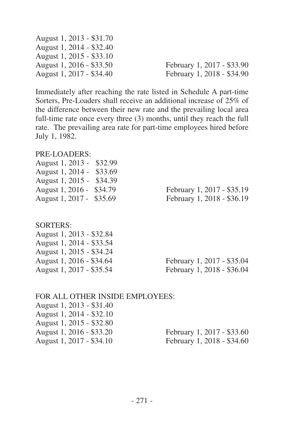| February 1, 2017 - \$33.90 |
|----------------------------|
| February 1, 2018 - \$34.90 |
|                            |

Immediately after reaching the rate listed in Schedule A part-time Sorters, Pre-Loaders shall receive an additional increase of 25% of the difference between their new rate and the prevailing local area full-time rate once every three (3) months, until they reach the full rate. The prevailing area rate for part-time employees hired before July 1, 1982.

#### PRE-LOADERS:

| \$32.99<br>August 1, 2013 - |                            |
|-----------------------------|----------------------------|
| \$33.69<br>August 1, 2014 - |                            |
| \$34.39<br>August 1, 2015 - |                            |
| August 1, 2016 -<br>\$34.79 | February 1, 2017 - \$35.19 |
| \$35.69<br>August 1, 2017 - | February 1, 2018 - \$36.19 |
|                             |                            |
|                             |                            |
| SORTERS:                    |                            |
| August 1, 2013 - \$32.84    |                            |
| August 1, 2014 - \$33.54    |                            |
| August 1, 2015 - \$34.24    |                            |
| August 1, 2016 - \$34.64    | February 1, 2017 - \$35.04 |
| August 1, 2017 - \$35.54    | February 1, 2018 - \$36.04 |
|                             |                            |

| FOR ALL OTHER INSIDE EMPLOYEES: |                            |
|---------------------------------|----------------------------|
| August 1, 2013 - \$31.40        |                            |
| August 1, 2014 - \$32.10        |                            |
| August 1, 2015 - \$32.80        |                            |
| August 1, 2016 - \$33.20        | February 1, 2017 - \$33.60 |
| August 1, 2017 - \$34.10        | February 1, 2018 - \$34.60 |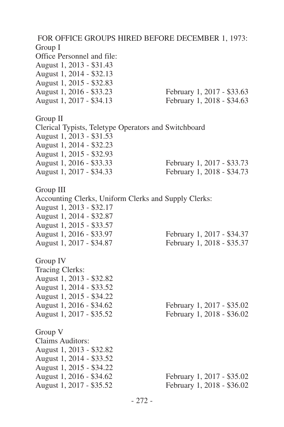FOR OFFICE GROUPS HIRED BEFORE DECEMBER 1, 1973: Group I Office Personnel and file: August 1, 2013 - \$31.43 August 1, 2014 - \$32.13 August 1, 2015 - \$32.83 August 1, 2016 - \$33.23 February 1, 2017 - \$33.63 August 1, 2017 - \$34.13 February 1, 2018 - \$34.63 Group II Clerical Typists, Teletype Operators and Switchboard August 1, 2013 - \$31.53 August 1, 2014 - \$32.23 August 1, 2015 - \$32.93 August 1, 2016 - \$33.33 February 1, 2017 - \$33.73 August 1, 2017 - \$34.33 February 1, 2018 - \$34.73 Group III Accounting Clerks, Uniform Clerks and Supply Clerks: August 1, 2013 - \$32.17 August 1, 2014 - \$32.87 August 1, 2015 - \$33.57 February 1, 2017 - \$34.37 August 1, 2017 - \$34.87 February 1, 2018 - \$35.37 Group IV Tracing Clerks: August 1, 2013 - \$32.82 August 1, 2014 - \$33.52 August 1, 2015 - \$34.22 February 1, 2017 - \$35.02 August 1, 2017 - \$35.52 February 1, 2018 - \$36.02 Group V Claims Auditors: August 1, 2013 - \$32.82 August 1, 2014 - \$33.52 August 1, 2015 - \$34.22 August 1, 2016 - \$34.62 February 1, 2017 - \$35.02 August 1, 2017 - \$35.52 February 1, 2018 - \$36.02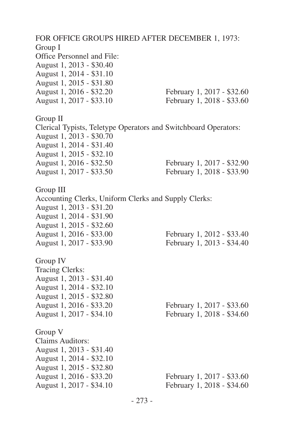FOR OFFICE GROUPS HIRED AFTER DECEMBER 1, 1973: Group I Office Personnel and File: August 1, 2013 - \$30.40 August 1, 2014 - \$31.10 August 1, 2015 - \$31.80 August 1, 2016 - \$32.20 February 1, 2017 - \$32.60 August 1, 2017 - \$33.10 February 1, 2018 - \$33.60 Group II Clerical Typists, Teletype Operators and Switchboard Operators: August 1, 2013 - \$30.70 August 1, 2014 - \$31.40 August 1, 2015 - \$32.10 August 1, 2016 - \$32.50 February 1, 2017 - \$32.90 August 1, 2017 - \$33.50 February 1, 2018 - \$33.90 Group III Accounting Clerks, Uniform Clerks and Supply Clerks: August 1, 2013 - \$31.20 August 1, 2014 - \$31.90 August 1, 2015 - \$32.60 February 1, 2012 - \$33.40 August 1, 2017 - \$33.90 February 1, 2013 - \$34.40 Group IV Tracing Clerks: August 1, 2013 - \$31.40 August 1, 2014 - \$32.10 August 1, 2015 - \$32.80 August 1, 2016 - \$33.20 February 1, 2017 - \$33.60 August 1, 2017 - \$34.10 February 1, 2018 - \$34.60 Group V Claims Auditors: August 1, 2013 - \$31.40 August 1, 2014 - \$32.10 August 1, 2015 - \$32.80 August 1, 2016 - \$33.20 February 1, 2017 - \$33.60 August 1, 2017 - \$34.10 February 1, 2018 - \$34.60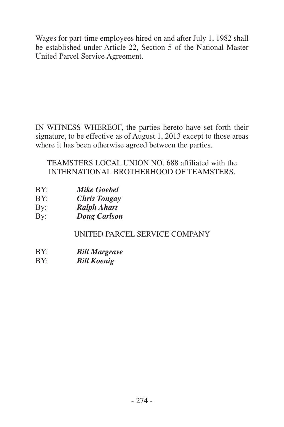Wages for part-time employees hired on and after July 1, 1982 shall be established under Article 22, Section 5 of the National Master United Parcel Service Agreement.

IN WITNESS WHEREOF, the parties hereto have set forth their signature, to be effective as of August 1, 2013 except to those areas where it has been otherwise agreed between the parties.

TEAMSTERS LOCAL UNION NO. 688 affiliated with the INTERNATIONAL BROTHERHOOD OF TEAMSTERS.

- BY: *Mike Goebel*
- BY: *Chris Tongay*
- By: *Ralph Ahart*
- By: *Doug Carlson*

#### UNITED PARCEL SERVICE COMPANY

- BY: *Bill Margrave*
- BY: *Bill Koenig*